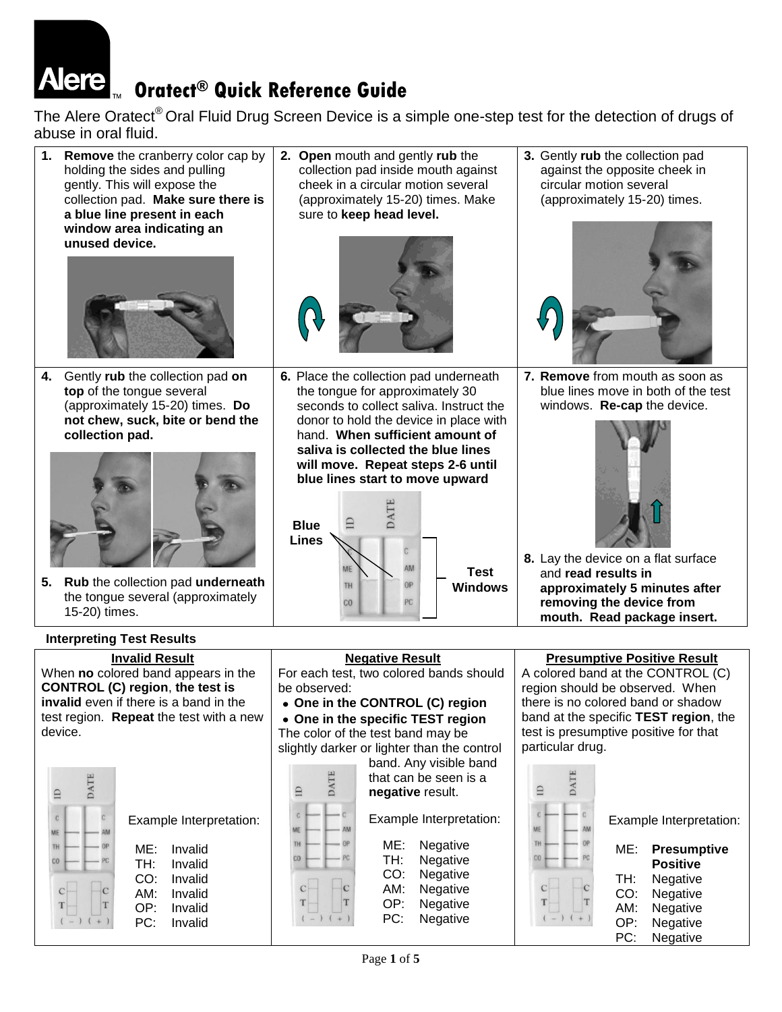# **Oratect® Quick Reference Guide**

ME: Invalid TH: Invalid CO: Invalid AM: Invalid OP: Invalid PC: Invalid

 $\overline{T}$ 

The Alere Oratect<sup>®</sup> Oral Fluid Drug Screen Device is a simple one-step test for the detection of drugs of abuse in oral fluid.



 $\mathbf C$ T ME: Negative TH: Negative<br>CO: Negative Negative AM: Negative OP: Negative PC: Negative

ME: **Presumptive Positive** TH: Negative CO: Negative AM: Negative OP: Negative PC: Negative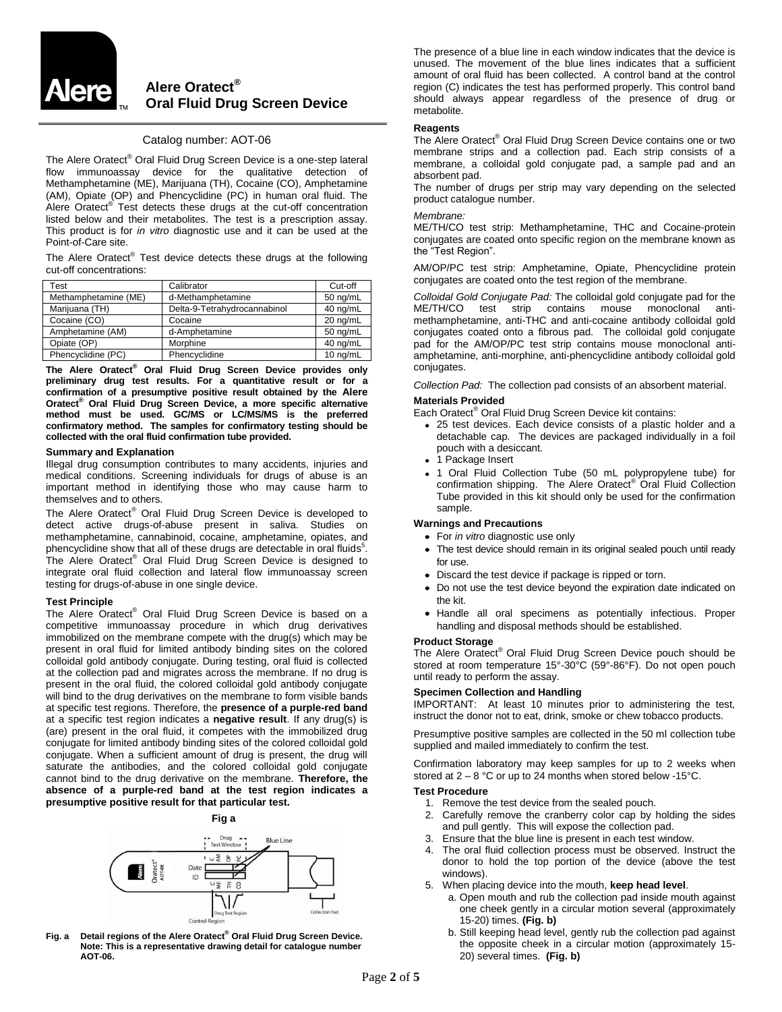

# **Alere Oratect® Oral Fluid Drug Screen Device**

# Catalog number: AOT-06

The Alere Oratect® Oral Fluid Drug Screen Device is a one-step lateral flow immunoassay device for the qualitative detection of Methamphetamine (ME), Marijuana (TH), Cocaine (CO), Amphetamine (AM), Opiate (OP) and Phencyclidine (PC) in human oral fluid. The Alere Oratect<sup>®</sup> Test detects these drugs at the cut-off concentration listed below and their metabolites. The test is a prescription assay. This product is for *in vitro* diagnostic use and it can be used at the Point-of-Care site.

The Alere Oratect® Test device detects these drugs at the following cut-off concentrations:

| Test                 | Calibrator                   | Cut-off    |
|----------------------|------------------------------|------------|
| Methamphetamine (ME) | d-Methamphetamine            | 50 ng/mL   |
| Marijuana (TH)       | Delta-9-Tetrahydrocannabinol | 40 ng/mL   |
| Cocaine (CO)         | Cocaine                      | 20 ng/mL   |
| Amphetamine (AM)     | d-Amphetamine                | $50$ ng/mL |
| Opiate (OP)          | Morphine                     | 40 ng/mL   |
| Phencyclidine (PC)   | Phencyclidine                | 10 ng/mL   |

**The Alere Oratect® Oral Fluid Drug Screen Device provides only preliminary drug test results. For a quantitative result or for a confirmation of a presumptive positive result obtained by the Alere Oratect® Oral Fluid Drug Screen Device, a more specific alternative method must be used. GC/MS or LC/MS/MS is the preferred confirmatory method. The samples for confirmatory testing should be collected with the oral fluid confirmation tube provided.**

#### **Summary and Explanation**

Illegal drug consumption contributes to many accidents, injuries and medical conditions. Screening individuals for drugs of abuse is an important method in identifying those who may cause harm to themselves and to others.

The Alere Oratect® Oral Fluid Drug Screen Device is developed to detect active drugs-of-abuse present in saliva. Studies on methamphetamine, cannabinoid, cocaine, amphetamine, opiates, and phencyclidine show that all of these drugs are detectable in oral fluids<sup>5</sup>. The Alere Oratect® Oral Fluid Drug Screen Device is designed to integrate oral fluid collection and lateral flow immunoassay screen testing for drugs-of-abuse in one single device.

# **Test Principle**

The Alere Oratect® Oral Fluid Drug Screen Device is based on a competitive immunoassay procedure in which drug derivatives immobilized on the membrane compete with the drug(s) which may be present in oral fluid for limited antibody binding sites on the colored colloidal gold antibody conjugate. During testing, oral fluid is collected at the collection pad and migrates across the membrane. If no drug is present in the oral fluid, the colored colloidal gold antibody conjugate will bind to the drug derivatives on the membrane to form visible bands at specific test regions. Therefore, the **presence of a purple-red band** at a specific test region indicates a **negative result**. If any drug(s) is (are) present in the oral fluid, it competes with the immobilized drug conjugate for limited antibody binding sites of the colored colloidal gold conjugate. When a sufficient amount of drug is present, the drug will saturate the antibodies, and the colored colloidal gold conjugate cannot bind to the drug derivative on the membrane. **Therefore, the absence of a purple-red band at the test region indicates a presumptive positive result for that particular test.**

**Fig a**



**Fig. a Detail regions of the Alere Oratect® Oral Fluid Drug Screen Device. Note: This is a representative drawing detail for catalogue number AOT-06.** 

The presence of a blue line in each window indicates that the device is unused. The movement of the blue lines indicates that a sufficient amount of oral fluid has been collected. A control band at the control region (C) indicates the test has performed properly. This control band should always appear regardless of the presence of drug or metabolite.

#### **Reagents**

The Alere Oratect® Oral Fluid Drug Screen Device contains one or two membrane strips and a collection pad. Each strip consists of a membrane, a colloidal gold conjugate pad, a sample pad and an absorbent pad.

The number of drugs per strip may vary depending on the selected product catalogue number.

#### *Membrane:*

ME/TH/CO test strip: Methamphetamine, THC and Cocaine-protein conjugates are coated onto specific region on the membrane known as the "Test Region".

AM/OP/PC test strip: Amphetamine, Opiate, Phencyclidine protein conjugates are coated onto the test region of the membrane.

*Colloidal Gold Conjugate Pad:* The colloidal gold conjugate pad for the ME/TH/CO test strip contains mouse monoclonal antimethamphetamine, anti-THC and anti-cocaine antibody colloidal gold conjugates coated onto a fibrous pad. The colloidal gold conjugate pad for the AM/OP/PC test strip contains mouse monoclonal antiamphetamine, anti-morphine, anti-phencyclidine antibody colloidal gold conjugates.

*Collection Pad:* The collection pad consists of an absorbent material.

# **Materials Provided**

Each Oratect® Oral Fluid Drug Screen Device kit contains:

- 25 test devices. Each device consists of a plastic holder and a detachable cap. The devices are packaged individually in a foil pouch with a desiccant.
- 1 Package Insert
- 1 Oral Fluid Collection Tube (50 mL polypropylene tube) for confirmation shipping. The Alere Oratect® Oral Fluid Collection Tube provided in this kit should only be used for the confirmation sample.

#### **Warnings and Precautions**

- For *in vitro* diagnostic use only
- The test device should remain in its original sealed pouch until ready for use.
- Discard the test device if package is ripped or torn.
- Do not use the test device beyond the expiration date indicated on the kit.
- Handle all oral specimens as potentially infectious. Proper handling and disposal methods should be established.

#### **Product Storage**

The Alere Oratect® Oral Fluid Drug Screen Device pouch should be stored at room temperature 15°-30°C (59°-86°F). Do not open pouch until ready to perform the assay.

#### **Specimen Collection and Handling**

IMPORTANT: At least 10 minutes prior to administering the test, instruct the donor not to eat, drink, smoke or chew tobacco products.

Presumptive positive samples are collected in the 50 ml collection tube supplied and mailed immediately to confirm the test.

Confirmation laboratory may keep samples for up to 2 weeks when stored at  $2 - 8$  °C or up to 24 months when stored below -15°C.

#### **Test Procedure**

- 1. Remove the test device from the sealed pouch.
- 2. Carefully remove the cranberry color cap by holding the sides and pull gently. This will expose the collection pad.
- 3. Ensure that the blue line is present in each test window.
- 4. The oral fluid collection process must be observed. Instruct the donor to hold the top portion of the device (above the test windows).
- 5. When placing device into the mouth, **keep head level**.
	- a. Open mouth and rub the collection pad inside mouth against one cheek gently in a circular motion several (approximately 15-20) times. **(Fig. b)**
	- b. Still keeping head level, gently rub the collection pad against the opposite cheek in a circular motion (approximately 15- 20) several times. **(Fig. b)**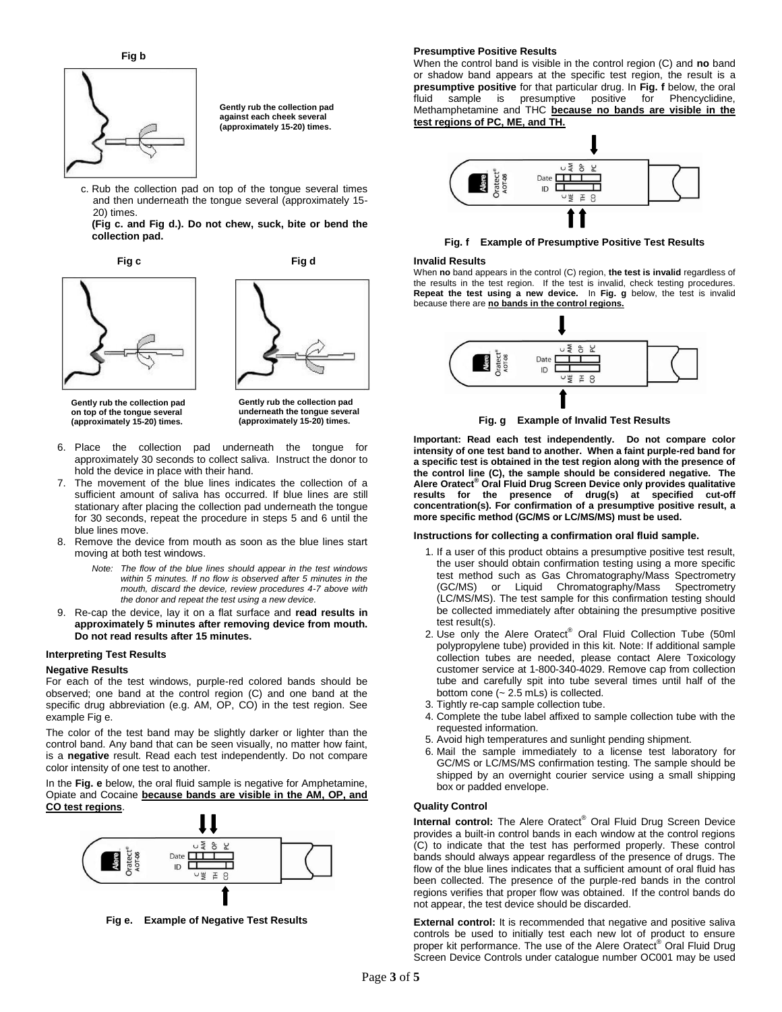#### **Presumptive Positive Results**



**Gently rub the collection pad against each cheek several (approximately 15-20) times.**

c. Rub the collection pad on top of the tongue several times and then underneath the tongue several (approximately 15- 20) times.

**(Fig c. and Fig d.). Do not chew, suck, bite or bend the collection pad.**

**Fig c Fig d**





**Gently rub the collection pad on top of the tongue several (approximately 15-20) times.**

**Gently rub the collection pad underneath the tongue several (approximately 15-20) times.**

- 6. Place the collection pad underneath the tongue for approximately 30 seconds to collect saliva. Instruct the donor to hold the device in place with their hand.
- 7. The movement of the blue lines indicates the collection of a sufficient amount of saliva has occurred. If blue lines are still stationary after placing the collection pad underneath the tongue for 30 seconds, repeat the procedure in steps 5 and 6 until the blue lines move.
- 8. Remove the device from mouth as soon as the blue lines start moving at both test windows.
	- *Note: The flow of the blue lines should appear in the test windows within 5 minutes. If no flow is observed after 5 minutes in the mouth, discard the device, review procedures 4-7 above with the donor and repeat the test using a new device.*
- 9. Re-cap the device, lay it on a flat surface and **read results in approximately 5 minutes after removing device from mouth. Do not read results after 15 minutes.**

#### **Interpreting Test Results**

# **Negative Results**

For each of the test windows, purple-red colored bands should be observed; one band at the control region (C) and one band at the specific drug abbreviation (e.g. AM, OP, CO) in the test region. See example Fig e.

The color of the test band may be slightly darker or lighter than the control band. Any band that can be seen visually, no matter how faint, is a **negative** result. Read each test independently. Do not compare color intensity of one test to another.

In the **Fig. e** below, the oral fluid sample is negative for Amphetamine, Opiate and Cocaine **because bands are visible in the AM, OP, and CO test regions**.



**Fig e. Example of Negative Test Results**

When the control band is visible in the control region (C) and **no** band or shadow band appears at the specific test region, the result is a **presumptive positive** for that particular drug. In **Fig. f** below, the oral fluid sample is presumptive positive for Phencyclidine, Methamphetamine and THC **because no bands are visible in the test regions of PC, ME, and TH.**



**Fig. f Example of Presumptive Positive Test Results**

#### **Invalid Results**

When **no** band appears in the control (C) region, **the test is invalid** regardless of the results in the test region. If the test is invalid, check testing procedures. **Repeat the test using a new device.** In **Fig. g** below, the test is invalid because there are **no bands in the control regions.**



**Fig. g Example of Invalid Test Results**

**Important: Read each test independently. Do not compare color intensity of one test band to another. When a faint purple-red band for a specific test is obtained in the test region along with the presence of the control line (C), the sample should be considered negative. The Alere Oratect® Oral Fluid Drug Screen Device only provides qualitative results for the presence of drug(s) at specified cut-off concentration(s). For confirmation of a presumptive positive result, a more specific method (GC/MS or LC/MS/MS) must be used.**

#### **Instructions for collecting a confirmation oral fluid sample.**

- 1. If a user of this product obtains a presumptive positive test result, the user should obtain confirmation testing using a more specific test method such as Gas Chromatography/Mass Spectrometry (GC/MS) or Liquid Chromatography/Mass Spectrometry (LC/MS/MS). The test sample for this confirmation testing should be collected immediately after obtaining the presumptive positive test result(s).
- 2. Use only the Alere Oratect<sup>®</sup> Oral Fluid Collection Tube (50ml polypropylene tube) provided in this kit. Note: If additional sample collection tubes are needed, please contact Alere Toxicology customer service at 1-800-340-4029. Remove cap from collection tube and carefully spit into tube several times until half of the bottom cone (~ 2.5 mLs) is collected.
- 3. Tightly re-cap sample collection tube.
- 4. Complete the tube label affixed to sample collection tube with the requested information.
- 5. Avoid high temperatures and sunlight pending shipment.
- 6. Mail the sample immediately to a license test laboratory for GC/MS or LC/MS/MS confirmation testing. The sample should be shipped by an overnight courier service using a small shipping box or padded envelope.

# **Quality Control**

Internal control: The Alere Oratect<sup>®</sup> Oral Fluid Drug Screen Device provides a built-in control bands in each window at the control regions (C) to indicate that the test has performed properly. These control bands should always appear regardless of the presence of drugs. The flow of the blue lines indicates that a sufficient amount of oral fluid has been collected. The presence of the purple-red bands in the control regions verifies that proper flow was obtained. If the control bands do not appear, the test device should be discarded.

**External control:** It is recommended that negative and positive saliva controls be used to initially test each new lot of product to ensure proper kit performance. The use of the Alere Oratect<sup>®</sup> Oral Fluid Drug Screen Device Controls under catalogue number OC001 may be used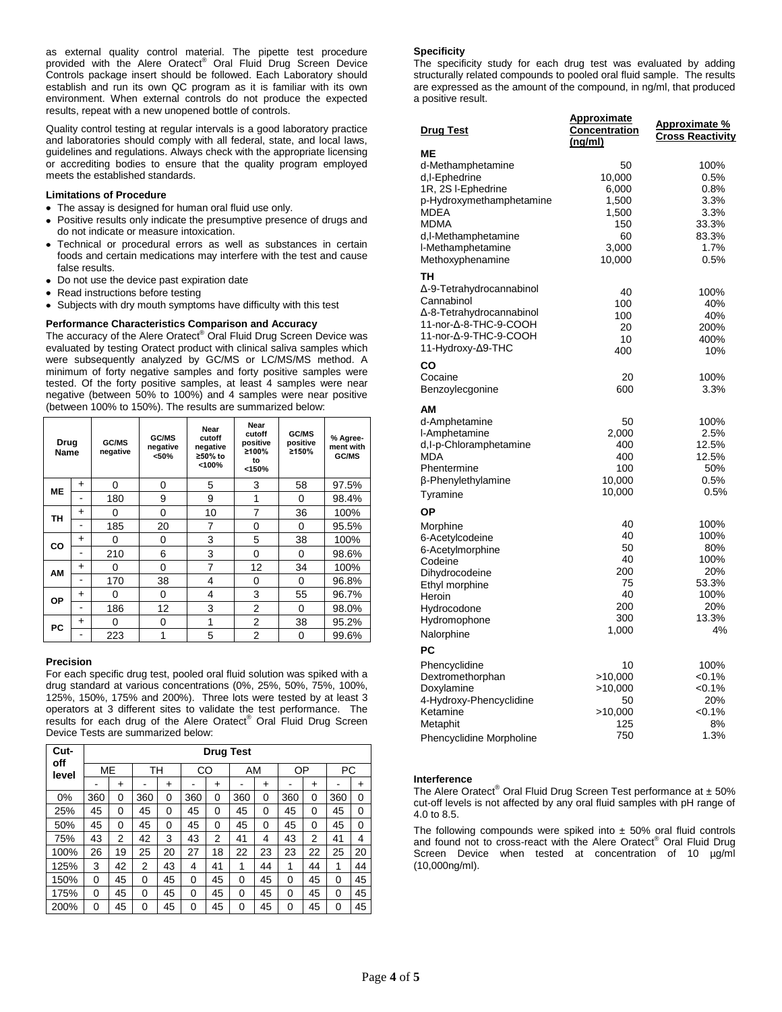as external quality control material. The pipette test procedure provided with the Alere Oratect® Oral Fluid Drug Screen Device Controls package insert should be followed. Each Laboratory should establish and run its own QC program as it is familiar with its own environment. When external controls do not produce the expected results, repeat with a new unopened bottle of controls.

Quality control testing at regular intervals is a good laboratory practice and laboratories should comply with all federal, state, and local laws, guidelines and regulations. Always check with the appropriate licensing or accrediting bodies to ensure that the quality program employed meets the established standards.

# **Limitations of Procedure**

- The assay is designed for human oral fluid use only.
- Positive results only indicate the presumptive presence of drugs and do not indicate or measure intoxication.
- Technical or procedural errors as well as substances in certain  $\bullet$ foods and certain medications may interfere with the test and cause false results.
- Do not use the device past expiration date
- Read instructions before testing
- Subjects with dry mouth symptoms have difficulty with this test

# **Performance Characteristics Comparison and Accuracy**

The accuracy of the Alere Oratect® Oral Fluid Drug Screen Device was evaluated by testing Oratect product with clinical saliva samples which were subsequently analyzed by GC/MS or LC/MS/MS method. A minimum of forty negative samples and forty positive samples were tested. Of the forty positive samples, at least 4 samples were near negative (between 50% to 100%) and 4 samples were near positive (between 100% to 150%). The results are summarized below:

| Drug<br>Name |           | GC/MS<br>negative | GC/MS<br>negative<br>< 50% | Near<br>cutoff<br>negative<br>≥50% to<br>$<$ 100% | Near<br>cutoff<br>positive<br>≥100%<br>to<br>< 150% | GC/MS<br>positive<br>≥150% | % Agree-<br>ment with<br>GC/MS |
|--------------|-----------|-------------------|----------------------------|---------------------------------------------------|-----------------------------------------------------|----------------------------|--------------------------------|
| <b>ME</b>    | $\ddot{}$ | 0                 | 0                          | 5                                                 | 3                                                   | 58                         | 97.5%                          |
|              |           | 180               | 9                          | 9                                                 | 1                                                   | 0                          | 98.4%                          |
| <b>TH</b>    | $\ddot{}$ | 0                 | 0                          | 10                                                | 7                                                   | 36                         | 100%                           |
|              |           | 185               | 20                         | 7                                                 | 0                                                   | 0                          | 95.5%                          |
| CO           | $\ddot{}$ | 0                 | 0                          | 3                                                 | 5                                                   | 38                         | 100%                           |
|              |           | 210               | 6                          | 3                                                 | 0                                                   | 0                          | 98.6%                          |
| АM           | $\ddot{}$ | 0                 | 0                          | 7                                                 | 12                                                  | 34                         | 100%                           |
|              |           | 170               | 38                         | 4                                                 | 0                                                   | 0                          | 96.8%                          |
| OP           | $\ddot{}$ | 0                 | 0                          | 4                                                 | 3                                                   | 55                         | 96.7%                          |
|              | -         | 186               | 12                         | 3                                                 | $\overline{2}$                                      | 0                          | 98.0%                          |
| PC           | $\ddot{}$ | 0                 | 0                          | 1                                                 | 2                                                   | 38                         | 95.2%                          |
|              |           | 223               | 1                          | 5                                                 | 2                                                   | 0                          | 99.6%                          |

#### **Precision**

For each specific drug test, pooled oral fluid solution was spiked with a drug standard at various concentrations (0%, 25%, 50%, 75%, 100%, 125%, 150%, 175% and 200%). Three lots were tested by at least 3 operators at 3 different sites to validate the test performance. The results for each drug of the Alere Oratect<sup>®</sup> Oral Fluid Drug Screen Device Tests are summarized below:

| Cut-<br>off | <b>Drug Test</b> |           |     |           |     |    |     |           |     |           |     |    |
|-------------|------------------|-----------|-----|-----------|-----|----|-----|-----------|-----|-----------|-----|----|
| level       | ME               |           | TН  |           | CO  |    | AM  |           | ΟP  |           | РC  |    |
|             |                  | $\ddot{}$ |     | $\ddot{}$ |     | +  |     | $\ddot{}$ |     | $\ddot{}$ |     | ٠  |
| 0%          | 360              | 0         | 360 | 0         | 360 | 0  | 360 | 0         | 360 | 0         | 360 | 0  |
| 25%         | 45               | 0         | 45  | 0         | 45  | 0  | 45  | 0         | 45  | 0         | 45  | 0  |
| 50%         | 45               | 0         | 45  | 0         | 45  | 0  | 45  | 0         | 45  | 0         | 45  | 0  |
| 75%         | 43               | 2         | 42  | 3         | 43  | 2  | 41  | 4         | 43  | 2         | 41  | 4  |
| 100%        | 26               | 19        | 25  | 20        | 27  | 18 | 22  | 23        | 23  | 22        | 25  | 20 |
| 125%        | 3                | 42        | 2   | 43        | 4   | 41 | 1   | 44        | 1   | 44        | 1   | 44 |
| 150%        | 0                | 45        | 0   | 45        | 0   | 45 | 0   | 45        | 0   | 45        | 0   | 45 |
| 175%        | 0                | 45        | 0   | 45        | 0   | 45 | 0   | 45        | 0   | 45        | 0   | 45 |
| 200%        | 0                | 45        | 0   | 45        | 0   | 45 | 0   | 45        | 0   | 45        | 0   | 45 |

# **Specificity**

The specificity study for each drug test was evaluated by adding structurally related compounds to pooled oral fluid sample. The results are expressed as the amount of the compound, in ng/ml, that produced a positive result.

| <b>Drug Test</b>         | <u>Approximate</u><br>Concentration<br>(ng/ml) | <u>Approximate %</u><br><u>Cross Reactivity</u> |
|--------------------------|------------------------------------------------|-------------------------------------------------|
| MЕ                       |                                                |                                                 |
| d-Methamphetamine        | 50                                             | 100%                                            |
| d,I-Ephedrine            | 10,000                                         | 0.5%                                            |
| 1R, 2S I-Ephedrine       | 6,000                                          | 0.8%                                            |
| p-Hydroxymethamphetamine | 1,500                                          | 3.3%                                            |
| MDEA                     | 1,500                                          | 3.3%                                            |
| MDMA                     | 150                                            | 33.3%                                           |
| d,I-Methamphetamine      | 60                                             | 83.3%                                           |
| I-Methamphetamine        | 3,000                                          | 1.7%                                            |
|                          | 10,000                                         | 0.5%                                            |
| Methoxyphenamine         |                                                |                                                 |
| TН                       |                                                |                                                 |
| Δ-9-Tetrahydrocannabinol | 40                                             | 100%                                            |
| Cannabinol               | 100                                            | 40%                                             |
| ∆-8-Tetrahydrocannabinol | 100                                            | 40%                                             |
| 11-nor-Δ-8-THC-9-COOH    | 20                                             | 200%                                            |
| 11-nor-A-9-THC-9-COOH    | 10                                             | 400%                                            |
| 11-Hydroxy-∆9-THC        | 400                                            | 10%                                             |
|                          |                                                |                                                 |
| CO                       |                                                |                                                 |
| Cocaine                  | 20                                             | 100%                                            |
| Benzoylecgonine          | 600                                            | 3.3%                                            |
| AM                       |                                                |                                                 |
|                          |                                                |                                                 |
| d-Amphetamine            | 50                                             | 100%                                            |
| I-Amphetamine            | 2,000                                          | 2.5%                                            |
| d,I-p-Chloramphetamine   | 400                                            | 12.5%                                           |
| <b>MDA</b>               | 400                                            | 12.5%                                           |
| Phentermine              | 100                                            | 50%                                             |
| β-Phenylethylamine       | 10,000                                         | 0.5%                                            |
| Tyramine                 | 10,000                                         | 0.5%                                            |
| <b>OP</b>                |                                                |                                                 |
|                          | 40                                             | 100%                                            |
| Morphine                 | 40                                             | 100%                                            |
| 6-Acetylcodeine          | 50                                             | 80%                                             |
| 6-Acetylmorphine         | 40                                             | 100%                                            |
| Codeine                  | 200                                            | 20%                                             |
| Dihydrocodeine           | 75                                             | 53.3%                                           |
| Ethyl morphine           |                                                |                                                 |
| Heroin                   | 40                                             | 100%                                            |
| Hydrocodone              | 200                                            | 20%                                             |
| Hydromophone             | 300                                            | 13.3%                                           |
| Nalorphine               | 1,000                                          | 4%                                              |
| PC                       |                                                |                                                 |
| Phencyclidine            | 10                                             | 100%                                            |
| Dextromethorphan         | >10,000                                        | < 0.1%                                          |
| Doxylamine               | >10,000                                        | $< 0.1\%$                                       |
| 4-Hydroxy-Phencyclidine  | 50                                             | 20%                                             |
| Ketamine                 | >10,000                                        | $< 0.1\%$                                       |
| Metaphit                 | 125                                            | 8%                                              |
|                          | 750                                            | 1.3%                                            |
| Phencyclidine Morpholine |                                                |                                                 |

#### **Interference**

The Alere Oratect® Oral Fluid Drug Screen Test performance at  $± 50\%$ cut-off levels is not affected by any oral fluid samples with pH range of 4.0 to 8.5.

The following compounds were spiked into  $\pm$  50% oral fluid controls and found not to cross-react with the Alere Oratect® Oral Fluid Drug Screen Device when tested at concentration of 10 µg/ml (10,000ng/ml).